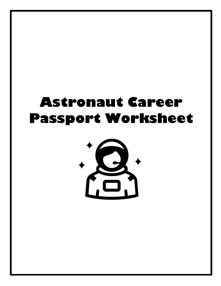# **Astronaut Career Passport Worksheet**

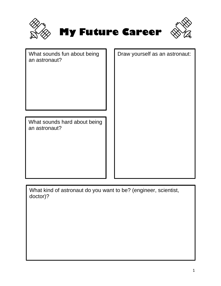

Draw yourself as an astronaut:

| What sounds fun about being |  |
|-----------------------------|--|
| an astronaut?               |  |

What sounds hard about being an astronaut?

What kind of astronaut do you want to be? (engineer, scientist, doctor)?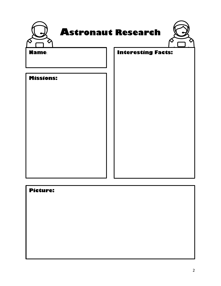|                  | <b>Astronaut Research</b> |
|------------------|---------------------------|
| <b>Name</b>      | <b>Interesting Facts:</b> |
| <b>Missions:</b> |                           |
|                  |                           |
|                  |                           |
|                  |                           |
|                  |                           |
|                  |                           |

# **Picture:**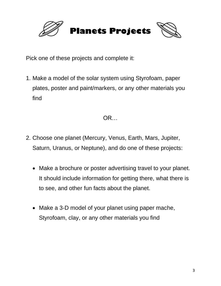

Pick one of these projects and complete it:

1. Make a model of the solar system using Styrofoam, paper plates, poster and paint/markers, or any other materials you find

OR…

- 2. Choose one planet (Mercury, Venus, Earth, Mars, Jupiter, Saturn, Uranus, or Neptune), and do one of these projects:
	- Make a brochure or poster advertising travel to your planet. It should include information for getting there, what there is to see, and other fun facts about the planet.
	- Make a 3-D model of your planet using paper mache, Styrofoam, clay, or any other materials you find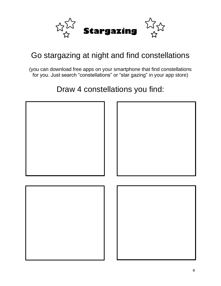

### Go stargazing at night and find constellations

(you can download free apps on your smartphone that find constellations for you. Just search "constellations" or "star gazing" in your app store)

### Draw 4 constellations you find:

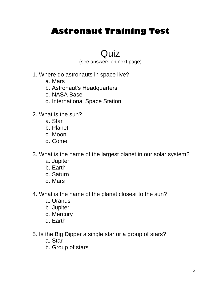### **Astronaut Training Test**

### Quiz

(see answers on next page)

- 1. Where do astronauts in space live?
	- a. Mars
	- b. Astronaut's Headquarters
	- c. NASA Base
	- d. International Space Station
- 2. What is the sun?
	- a. Star
	- b. Planet
	- c. Moon
	- d. Comet
- 3. What is the name of the largest planet in our solar system?
	- a. Jupiter
	- b. Earth
	- c. Saturn
	- d. Mars
- 4. What is the name of the planet closest to the sun?
	- a. Uranus
	- b. Jupiter
	- c. Mercury
	- d. Earth
- 5. Is the Big Dipper a single star or a group of stars?
	- a. Star
	- b. Group of stars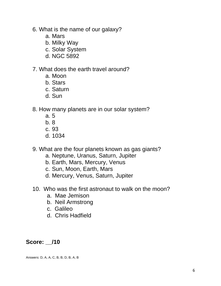- 6. What is the name of our galaxy?
	- a. Mars
	- b. Milky Way
	- c. Solar System
	- d. NGC 5892
- 7. What does the earth travel around?
	- a. Moon
	- b. Stars
	- c. Saturn
	- d. Sun
- 8. How many planets are in our solar system?
	- a. 5
	- b. 8
	- c. 93
	- d. 1034
- 9. What are the four planets known as gas giants?
	- a. Neptune, Uranus, Saturn, Jupiter
	- b. Earth, Mars, Mercury, Venus
	- c. Sun, Moon, Earth, Mars
	- d. Mercury, Venus, Saturn, Jupiter
- 10. Who was the first astronaut to walk on the moon?
	- a. Mae Jemison
	- b. Neil Armstrong
	- c. Galileo
	- d. Chris Hadfield

### **Score: \_\_/10**

Answers: D, A, A, C, B, B, D, B, A, B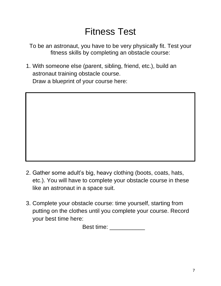## Fitness Test

To be an astronaut, you have to be very physically fit. Test your fitness skills by completing an obstacle course:

1. With someone else (parent, sibling, friend, etc.), build an astronaut training obstacle course. Draw a blueprint of your course here:

- 2. Gather some adult's big, heavy clothing (boots, coats, hats, etc.). You will have to complete your obstacle course in these like an astronaut in a space suit.
- 3. Complete your obstacle course: time yourself, starting from putting on the clothes until you complete your course. Record your best time here:

Best time: